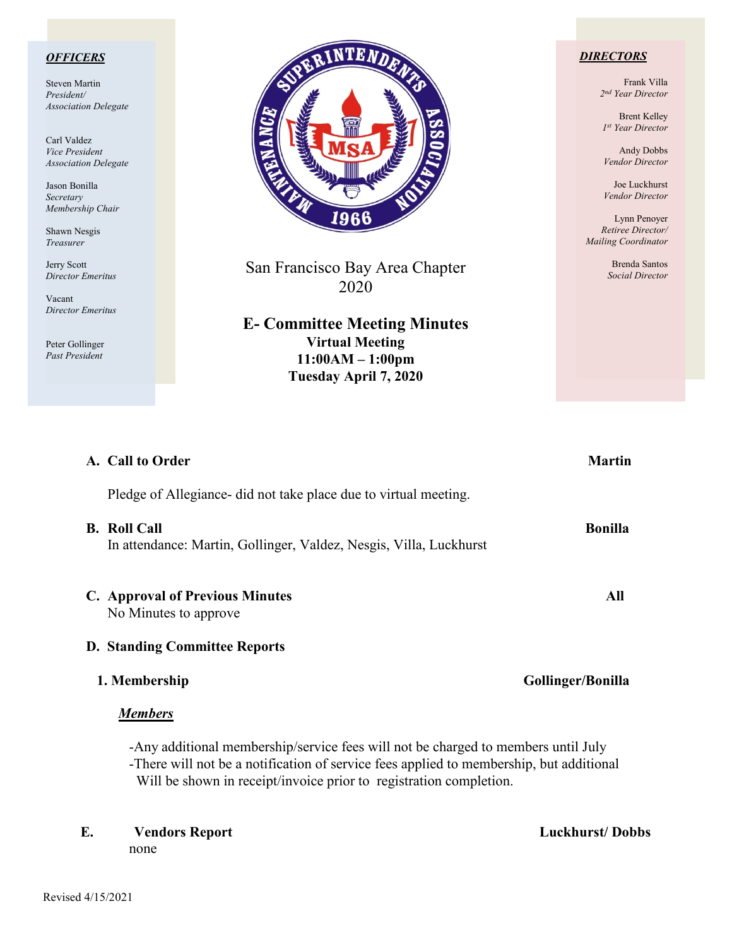### *OFFICERS*

Steven Martin *President/ Association Delegate*

Carl Valdez *Vice President Association Delegate*

Jason Bonilla *Secretary Membership Chair*

Shawn Nesgis *Treasurer*

Jerry Scott *Director Emeritus*

Vacant *Director Emeritus*

Peter Gollinger *Past President*



San Francisco Bay Area Chapter 2020

**E- Committee Meeting Minutes Virtual Meeting 11:00AM – 1:00pm Tuesday April 7, 2020**

### *DIRECTORS*

Frank Villa *2nd Year Director*

Brent Kelley *1st Year Director*

Andy Dobbs *Vendor Director*

Joe Luckhurst *Vendor Director*

Lynn Penoyer *Retiree Director/ Mailing Coordinator*

> Brenda Santos *Social Director*

| A. Call to Order                                                                                                                                                                                                                                   | <b>Martin</b>     |  |
|----------------------------------------------------------------------------------------------------------------------------------------------------------------------------------------------------------------------------------------------------|-------------------|--|
| Pledge of Allegiance did not take place due to virtual meeting.                                                                                                                                                                                    |                   |  |
| <b>B.</b> Roll Call<br>In attendance: Martin, Gollinger, Valdez, Nesgis, Villa, Luckhurst                                                                                                                                                          | <b>Bonilla</b>    |  |
| <b>C.</b> Approval of Previous Minutes<br>No Minutes to approve                                                                                                                                                                                    | All               |  |
| <b>D. Standing Committee Reports</b>                                                                                                                                                                                                               |                   |  |
| 1. Membership                                                                                                                                                                                                                                      | Gollinger/Bonilla |  |
| <u>Members</u>                                                                                                                                                                                                                                     |                   |  |
| -Any additional membership/service fees will not be charged to members until July<br>-There will not be a notification of service fees applied to membership, but additional<br>Will be shown in receipt/invoice prior to registration completion. |                   |  |

**E. Vendors Report Luckhurst/ Dobbs** none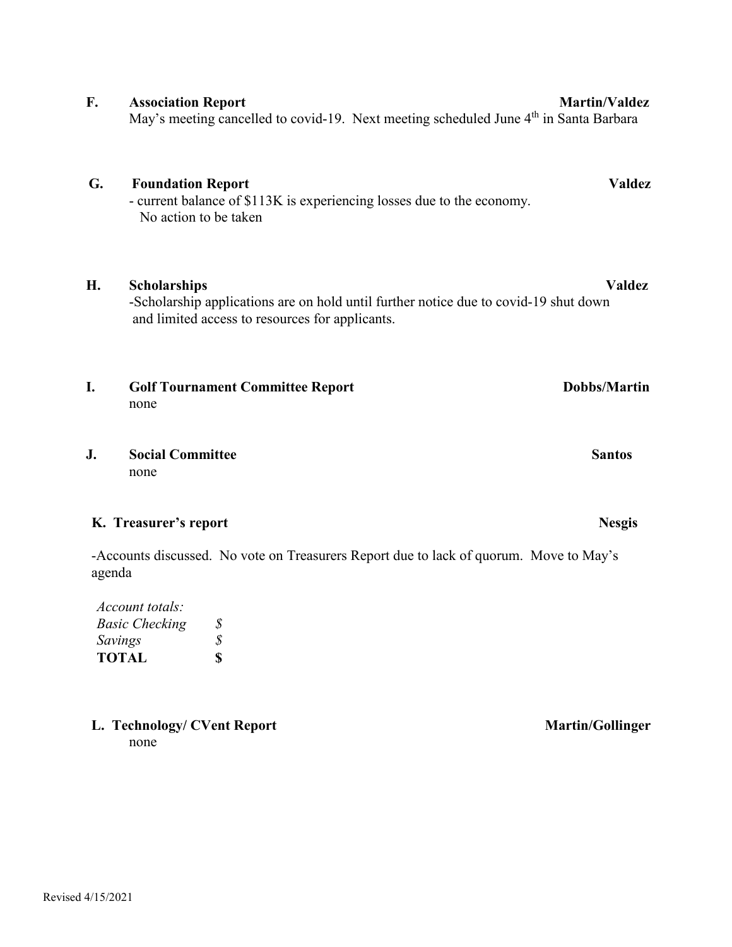# **G. Foundation Report Valdez** - current balance of \$113K is experiencing losses due to the economy. No action to be taken **H. Scholarships Valdez** -Scholarship applications are on hold until further notice due to covid-19 shut down and limited access to resources for applicants. **I.** Golf Tournament Committee Report Dobbs/Martin none

## **J. Social Committee Santos** none

# **K. Treasurer's report Nesgis**

-Accounts discussed. No vote on Treasurers Report due to lack of quorum. Move to May's agenda

| S |
|---|
| S |
| Я |
|   |

L. Technology/ CVent Report **Martin/Gollinger** none

**F. Association Report** Martin/Valdez May's meeting cancelled to covid-19. Next meeting scheduled June 4<sup>th</sup> in Santa Barbara